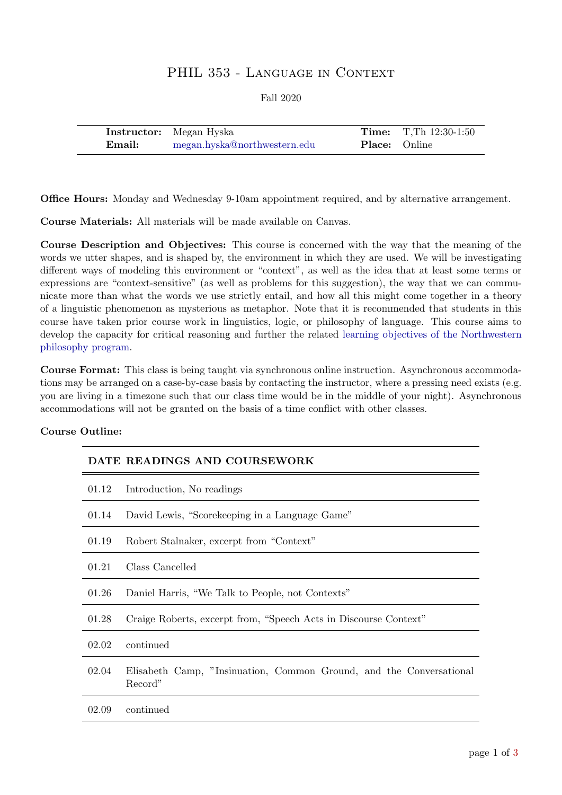# PHIL 353 - LANGUAGE IN CONTEXT

Fall 2020

|        | <b>Instructor:</b> Megan Hyska |                      | <b>Time:</b> T, Th $12:30-1:50$ |
|--------|--------------------------------|----------------------|---------------------------------|
| Email: | megan.hyska@northwestern.edu   | <b>Place:</b> Online |                                 |

Office Hours: Monday and Wednesday 9-10am appointment required, and by alternative arrangement.

Course Materials: All materials will be made available on Canvas.

Course Description and Objectives: This course is concerned with the way that the meaning of the words we utter shapes, and is shaped by, the environment in which they are used. We will be investigating different ways of modeling this environment or "context", as well as the idea that at least some terms or expressions are "context-sensitive" (as well as problems for this suggestion), the way that we can communicate more than what the words we use strictly entail, and how all this might come together in a theory of a linguistic phenomenon as mysterious as metaphor. Note that it is recommended that students in this course have taken prior course work in linguistics, logic, or philosophy of language. This course aims to develop the capacity for critical reasoning and further the related [learning objectives of the Northwestern](https://www.philosophy.northwestern.edu/undergraduate/philosophy-learning-goals/) [philosophy program.](https://www.philosophy.northwestern.edu/undergraduate/philosophy-learning-goals/)

Course Format: This class is being taught via synchronous online instruction. Asynchronous accommodations may be arranged on a case-by-case basis by contacting the instructor, where a pressing need exists (e.g. you are living in a timezone such that our class time would be in the middle of your night). Asynchronous accommodations will not be granted on the basis of a time conflict with other classes.

## Course Outline:

|       | DATE READINGS AND COURSEWORK                                                   |
|-------|--------------------------------------------------------------------------------|
| 01.12 | Introduction, No readings                                                      |
| 01.14 | David Lewis, "Scorekeeping in a Language Game"                                 |
| 01.19 | Robert Stalnaker, excerpt from "Context"                                       |
| 01.21 | Class Cancelled                                                                |
| 01.26 | Daniel Harris, "We Talk to People, not Contexts"                               |
| 01.28 | Craige Roberts, excerpt from, "Speech Acts in Discourse Context"               |
| 02.02 | continued                                                                      |
| 02.04 | Elisabeth Camp, "Insinuation, Common Ground, and the Conversational<br>Record" |
| 02.09 | continued                                                                      |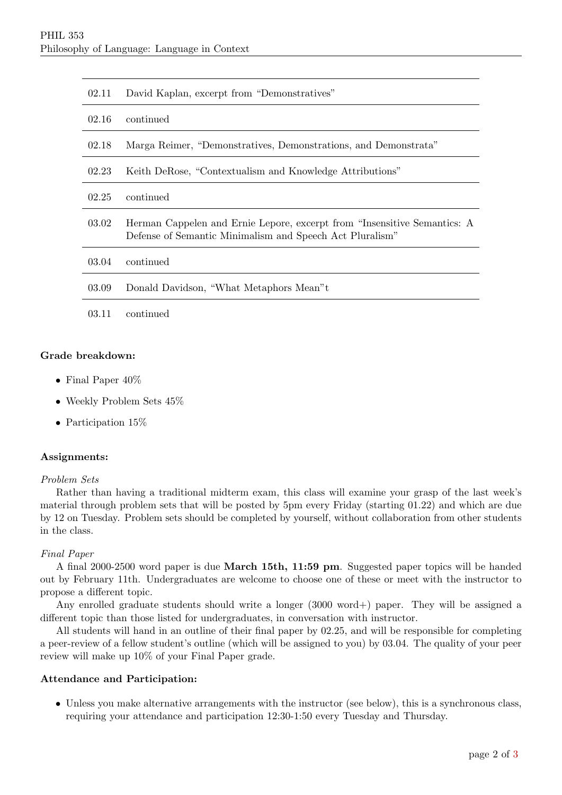| 02.11 | David Kaplan, excerpt from "Demonstratives"                                                                                          |
|-------|--------------------------------------------------------------------------------------------------------------------------------------|
| 02.16 | continued                                                                                                                            |
| 02.18 | Marga Reimer, "Demonstratives, Demonstrations, and Demonstrata"                                                                      |
| 02.23 | Keith DeRose, "Contextualism and Knowledge Attributions"                                                                             |
| 02.25 | continued                                                                                                                            |
| 03.02 | Herman Cappelen and Ernie Lepore, excerpt from "Insensitive Semantics: A<br>Defense of Semantic Minimalism and Speech Act Pluralism" |
| 03.04 | continued                                                                                                                            |
| 03.09 | Donald Davidson, "What Metaphors Mean"t                                                                                              |
| 03.11 | continued                                                                                                                            |

### Grade breakdown:

- Final Paper 40%
- Weekly Problem Sets 45%
- Participation 15%

#### Assignments:

#### Problem Sets

Rather than having a traditional midterm exam, this class will examine your grasp of the last week's material through problem sets that will be posted by 5pm every Friday (starting 01.22) and which are due by 12 on Tuesday. Problem sets should be completed by yourself, without collaboration from other students in the class.

#### Final Paper

A final 2000-2500 word paper is due March 15th, 11:59 pm. Suggested paper topics will be handed out by February 11th. Undergraduates are welcome to choose one of these or meet with the instructor to propose a different topic.

Any enrolled graduate students should write a longer (3000 word+) paper. They will be assigned a different topic than those listed for undergraduates, in conversation with instructor.

All students will hand in an outline of their final paper by 02.25, and will be responsible for completing a peer-review of a fellow student's outline (which will be assigned to you) by 03.04. The quality of your peer review will make up 10% of your Final Paper grade.

#### Attendance and Participation:

• Unless you make alternative arrangements with the instructor (see below), this is a synchronous class, requiring your attendance and participation 12:30-1:50 every Tuesday and Thursday.